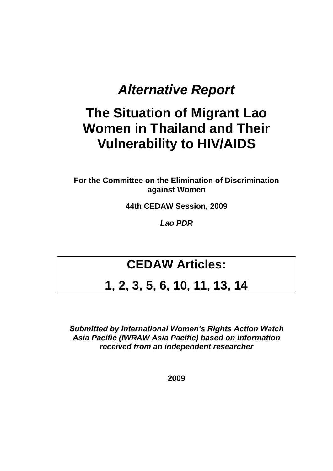# *Alternative Report*

# **The Situation of Migrant Lao Women in Thailand and Their Vulnerability to HIV/AIDS**

**For the Committee on the Elimination of Discrimination against Women**

**44th CEDAW Session, 2009**

*Lao PDR*

# **CEDAW Articles:**

# **1, 2, 3, 5, 6, 10, 11, 13, 14**

*Submitted by International Women's Rights Action Watch Asia Pacific (IWRAW Asia Pacific) based on information received from an independent researcher*

**2009**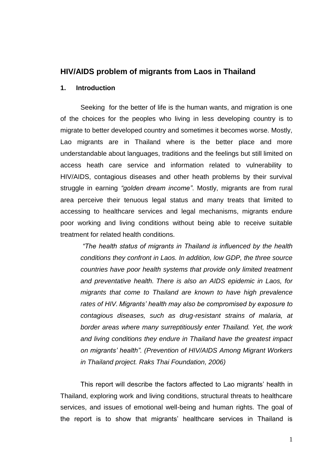# **HIV/AIDS problem of migrants from Laos in Thailand**

#### **1. Introduction**

Seeking for the better of life is the human wants, and migration is one of the choices for the peoples who living in less developing country is to migrate to better developed country and sometimes it becomes worse. Mostly, Lao migrants are in Thailand where is the better place and more understandable about languages, traditions and the feelings but still limited on access heath care service and information related to vulnerability to HIV/AIDS, contagious diseases and other heath problems by their survival struggle in earning *"golden dream income"*. Mostly, migrants are from rural area perceive their tenuous legal status and many treats that limited to accessing to healthcare services and legal mechanisms, migrants endure poor working and living conditions without being able to receive suitable treatment for related health conditions.

*"The health status of migrants in Thailand is influenced by the health conditions they confront in Laos. In addition, low GDP, the three source countries have poor health systems that provide only limited treatment and preventative health. There is also an AIDS epidemic in Laos, for migrants that come to Thailand are known to have high prevalence rates of HIV. Migrants' health may also be compromised by exposure to contagious diseases, such as drug-resistant strains of malaria, at border areas where many surreptitiously enter Thailand. Yet, the work and living conditions they endure in Thailand have the greatest impact on migrants' health". (Prevention of HIV/AIDS Among Migrant Workers in Thailand project. Raks Thai Foundation, 2006)*

This report will describe the factors affected to Lao migrants' health in Thailand, exploring work and living conditions, structural threats to healthcare services, and issues of emotional well-being and human rights. The goal of the report is to show that migrants' healthcare services in Thailand is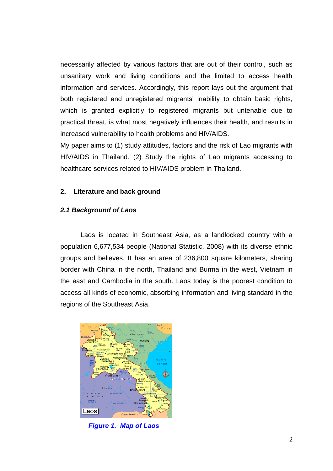necessarily affected by various factors that are out of their control, such as unsanitary work and living conditions and the limited to access health information and services. Accordingly, this report lays out the argument that both registered and unregistered migrants' inability to obtain basic rights, which is granted explicitly to registered migrants but untenable due to practical threat, is what most negatively influences their health, and results in increased vulnerability to health problems and HIV/AIDS.

My paper aims to (1) study attitudes, factors and the risk of Lao migrants with HIV/AIDS in Thailand. (2) Study the rights of Lao migrants accessing to healthcare services related to HIV/AIDS problem in Thailand.

## **2. Literature and back ground**

### *2.1 Background of Laos*

Laos is located in Southeast Asia, as a landlocked country with a population 6,677,534 people (National Statistic, 2008) with its diverse ethnic groups and believes. It has an area of 236,800 square kilometers, sharing border with China in the north, Thailand and Burma in the west, Vietnam in the east and Cambodia in the south. Laos today is the poorest condition to access all kinds of economic, absorbing information and living standard in the regions of the Southeast Asia.



 *Figure 1. Map of Laos*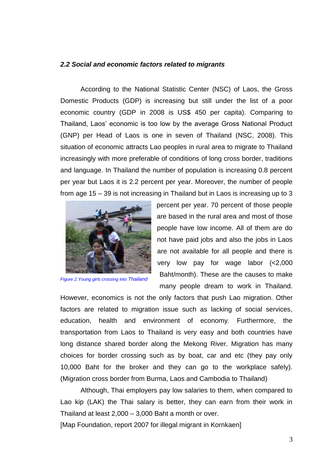#### *2.2 Social and economic factors related to migrants*

According to the National Statistic Center (NSC) of Laos, the Gross Domestic Products (GDP) is increasing but still under the list of a poor economic country (GDP in 2008 is US\$ 450 per capita). Comparing to Thailand, Laos' economic is too low by the average Gross National Product (GNP) per Head of Laos is one in seven of Thailand (NSC, 2008). This situation of economic attracts Lao peoples in rural area to migrate to Thailand increasingly with more preferable of conditions of long cross border, traditions and language. In Thailand the number of population is increasing 0.8 percent per year but Laos it is 2.2 percent per year. Moreover, the number of people from age 15 – 39 is not increasing in Thailand but in Laos is increasing up to 3



*Figure 2.Young girls crossing into Thailand*

percent per year. 70 percent of those people are based in the rural area and most of those people have low income. All of them are do not have paid jobs and also the jobs in Laos are not available for all people and there is very low pay for wage labor (<2,000 Baht/month). These are the causes to make many people dream to work in Thailand.

However, economics is not the only factors that push Lao migration. Other factors are related to migration issue such as lacking of social services, education, health and environment of economy. Furthermore, the transportation from Laos to Thailand is very easy and both countries have long distance shared border along the Mekong River. Migration has many choices for border crossing such as by boat, car and etc (they pay only 10,000 Baht for the broker and they can go to the workplace safely). (Migration cross border from Burma, Laos and Cambodia to Thailand)

Although, Thai employers pay low salaries to them, when compared to Lao kip (LAK) the Thai salary is better, they can earn from their work in Thailand at least 2,000 – 3,000 Baht a month or over.

[Map Foundation, report 2007 for illegal migrant in Kornkaen]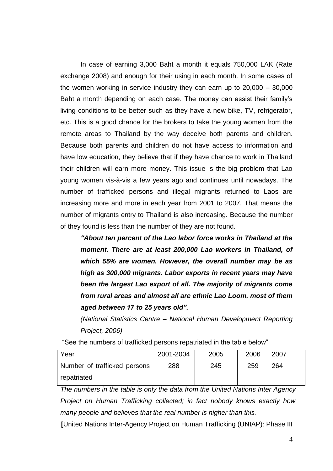In case of earning 3,000 Baht a month it equals 750,000 LAK (Rate exchange 2008) and enough for their using in each month. In some cases of the women working in service industry they can earn up to 20,000 – 30,000 Baht a month depending on each case. The money can assist their family's living conditions to be better such as they have a new bike, TV, refrigerator, etc. This is a good chance for the brokers to take the young women from the remote areas to Thailand by the way deceive both parents and children. Because both parents and children do not have access to information and have low education, they believe that if they have chance to work in Thailand their children will earn more money. This issue is the big problem that Lao young women vis-à-vis a few years ago and continues until nowadays. The number of trafficked persons and illegal migrants returned to Laos are increasing more and more in each year from 2001 to 2007. That means the number of migrants entry to Thailand is also increasing. Because the number of they found is less than the number of they are not found.

*"About ten percent of the Lao labor force works in Thailand at the moment. There are at least 200,000 Lao workers in Thailand, of which 55% are women. However, the overall number may be as high as 300,000 migrants. Labor exports in recent years may have been the largest Lao export of all. The majority of migrants come from rural areas and almost all are ethnic Lao Loom, most of them aged between 17 to 25 years old".*

*(National Statistics Centre – National Human Development Reporting Project, 2006)*

"See the numbers of trafficked persons repatriated in the table below"

| Year                         | 2001-2004 | 2005 | 2006 | 2007 |
|------------------------------|-----------|------|------|------|
| Number of trafficked persons | 288       | 245  | 259  | 264  |
| repatriated                  |           |      |      |      |

*The numbers in the table is only the data from the United Nations Inter Agency Project on Human Trafficking collected; in fact nobody knows exactly how many people and believes that the real number is higher than this.* 

**[**United Nations Inter-Agency Project on Human Trafficking (UNIAP): Phase III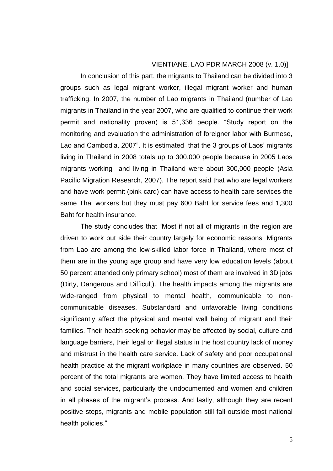#### VIENTIANE, LAO PDR MARCH 2008 (v. 1.0)]

In conclusion of this part, the migrants to Thailand can be divided into 3 groups such as legal migrant worker, illegal migrant worker and human trafficking. In 2007, the number of Lao migrants in Thailand (number of Lao migrants in Thailand in the year 2007, who are qualified to continue their work permit and nationality proven) is 51,336 people. "Study report on the monitoring and evaluation the administration of foreigner labor with Burmese, Lao and Cambodia, 2007". It is estimated that the 3 groups of Laos' migrants living in Thailand in 2008 totals up to 300,000 people because in 2005 Laos migrants working and living in Thailand were about 300,000 people (Asia Pacific Migration Research, 2007). The report said that who are legal workers and have work permit (pink card) can have access to health care services the same Thai workers but they must pay 600 Baht for service fees and 1,300 Baht for health insurance.

The study concludes that "Most if not all of migrants in the region are driven to work out side their country largely for economic reasons. Migrants from Lao are among the low-skilled labor force in Thailand, where most of them are in the young age group and have very low education levels (about 50 percent attended only primary school) most of them are involved in 3D jobs (Dirty, Dangerous and Difficult). The health impacts among the migrants are wide-ranged from physical to mental health, communicable to noncommunicable diseases. Substandard and unfavorable living conditions significantly affect the physical and mental well being of migrant and their families. Their health seeking behavior may be affected by social, culture and language barriers, their legal or illegal status in the host country lack of money and mistrust in the health care service. Lack of safety and poor occupational health practice at the migrant workplace in many countries are observed. 50 percent of the total migrants are women. They have limited access to health and social services, particularly the undocumented and women and children in all phases of the migrant's process. And lastly, although they are recent positive steps, migrants and mobile population still fall outside most national health policies."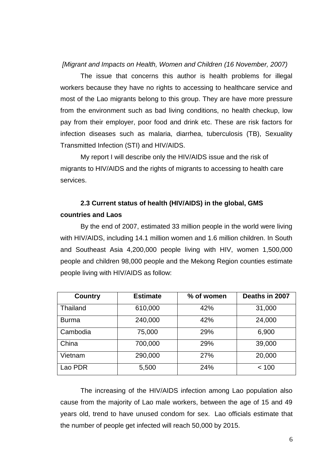### *[Migrant and Impacts on Health, Women and Children (16 November, 2007)*

The issue that concerns this author is health problems for illegal workers because they have no rights to accessing to healthcare service and most of the Lao migrants belong to this group. They are have more pressure from the environment such as bad living conditions, no health checkup, low pay from their employer, poor food and drink etc. These are risk factors for infection diseases such as malaria, diarrhea, tuberculosis (TB), Sexuality Transmitted Infection (STI) and HIV/AIDS.

My report I will describe only the HIV/AIDS issue and the risk of migrants to HIV/AIDS and the rights of migrants to accessing to health care services.

# **2.3 Current status of health (HIV/AIDS) in the global, GMS countries and Laos**

By the end of 2007, estimated 33 million people in the world were living with HIV/AIDS, including 14.1 million women and 1.6 million children. In South and Southeast Asia 4,200,000 people living with HIV, women 1,500,000 people and children 98,000 people and the Mekong Region counties estimate people living with HIV/AIDS as follow:

| Country      | <b>Estimate</b> | % of women | Deaths in 2007 |
|--------------|-----------------|------------|----------------|
| Thailand     | 610,000         | 42%        | 31,000         |
| <b>Burma</b> | 240,000         | 42%        | 24,000         |
| Cambodia     | 75,000          | 29%        | 6,900          |
| China        | 700,000         | 29%        | 39,000         |
| Vietnam      | 290,000         | 27%        | 20,000         |
| Lao PDR      | 5,500           | 24%        | < 100          |

The increasing of the HIV/AIDS infection among Lao population also cause from the majority of Lao male workers, between the age of 15 and 49 years old, trend to have unused condom for sex. Lao officials estimate that the number of people get infected will reach 50,000 by 2015.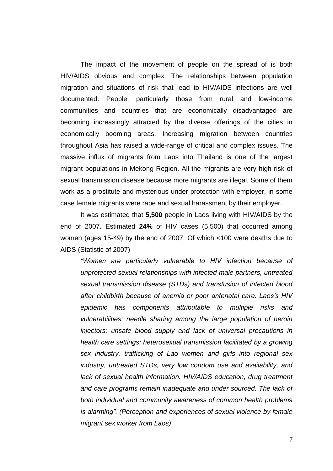The impact of the movement of people on the spread of is both HIV/AIDS obvious and complex. The relationships between population migration and situations of risk that lead to HIV/AIDS infections are well documented. People, particularly those from rural and low-income communities and countries that are economically disadvantaged are becoming increasingly attracted by the diverse offerings of the cities in economically booming areas. Increasing migration between countries throughout Asia has raised a wide-range of critical and complex issues. The massive influx of migrants from Laos into Thailand is one of the largest migrant populations in Mekong Region. All the migrants are very high risk of sexual transmission disease because more migrants are illegal. Some of them work as a prostitute and mysterious under protection with employer, in some case female migrants were rape and sexual harassment by their employer.

It was estimated that **5,500** people in Laos living with HIV/AIDS by the end of 2007**.** Estimated **24%** of HIV cases (5,500) that occurred among women (ages 15-49) by the end of 2007. Of which <100 were deaths due to AIDS (Statistic of 2007)

*"Women are particularly vulnerable to HIV infection because of unprotected sexual relationships with infected male partners, untreated sexual transmission disease (STDs) and transfusion of infected blood after childbirth because of anemia or poor antenatal care. Laos's HIV epidemic has components attributable to multiple risks and vulnerabilities: needle sharing among the large population of heroin injectors; unsafe blood supply and lack of universal precautions in health care settings; heterosexual transmission facilitated by a growing sex industry, trafficking of Lao women and girls into regional sex industry, untreated STDs, very low condom use and availability, and lack of sexual health information. HIV/AIDS education, drug treatment and care programs remain inadequate and under sourced. The lack of both individual and community awareness of common health problems is alarming". (Perception and experiences of sexual violence by female migrant sex worker from Laos)*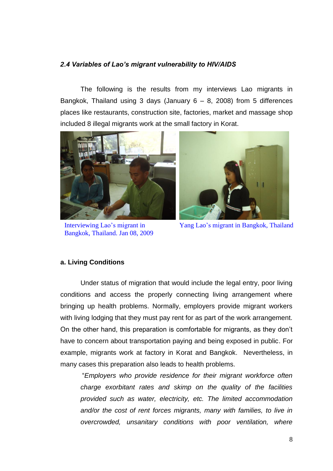### *2.4 Variables of Lao's migrant vulnerability to HIV/AIDS*

The following is the results from my interviews Lao migrants in Bangkok, Thailand using 3 days (January  $6 - 8$ , 2008) from 5 differences places like restaurants, construction site, factories, market and massage shop included 8 illegal migrants work at the small factory in Korat.



Interviewing Lao's migrant in Bangkok, Thailand. Jan 08, 2009



Yang Lao's migrant in Bangkok, Thailand

#### **a. Living Conditions**

Under status of migration that would include the legal entry, poor living conditions and access the properly connecting living arrangement where bringing up health problems. Normally, employers provide migrant workers with living lodging that they must pay rent for as part of the work arrangement. On the other hand, this preparation is comfortable for migrants, as they don't have to concern about transportation paying and being exposed in public. For example, migrants work at factory in Korat and Bangkok. Nevertheless, in many cases this preparation also leads to health problems.

"*Employers who provide residence for their migrant workforce often charge exorbitant rates and skimp on the quality of the facilities provided such as water, electricity, etc. The limited accommodation and/or the cost of rent forces migrants, many with families, to live in overcrowded, unsanitary conditions with poor ventilation, where*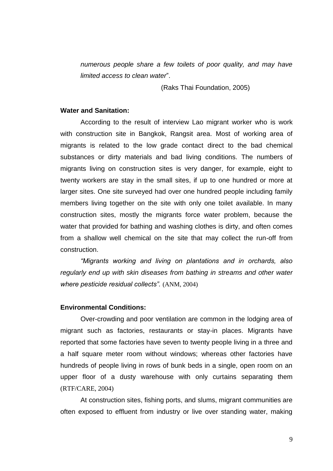*numerous people share a few toilets of poor quality, and may have limited access to clean water*".

(Raks Thai Foundation, 2005)

#### **Water and Sanitation:**

According to the result of interview Lao migrant worker who is work with construction site in Bangkok, Rangsit area. Most of working area of migrants is related to the low grade contact direct to the bad chemical substances or dirty materials and bad living conditions. The numbers of migrants living on construction sites is very danger, for example, eight to twenty workers are stay in the small sites, if up to one hundred or more at larger sites. One site surveyed had over one hundred people including family members living together on the site with only one toilet available. In many construction sites, mostly the migrants force water problem, because the water that provided for bathing and washing clothes is dirty, and often comes from a shallow well chemical on the site that may collect the run-off from construction.

*"Migrants working and living on plantations and in orchards, also regularly end up with skin diseases from bathing in streams and other water where pesticide residual collects".* (ANM, 2004)

#### **Environmental Conditions:**

Over-crowding and poor ventilation are common in the lodging area of migrant such as factories, restaurants or stay-in places. Migrants have reported that some factories have seven to twenty people living in a three and a half square meter room without windows; whereas other factories have hundreds of people living in rows of bunk beds in a single, open room on an upper floor of a dusty warehouse with only curtains separating them (RTF/CARE, 2004)

At construction sites, fishing ports, and slums, migrant communities are often exposed to effluent from industry or live over standing water, making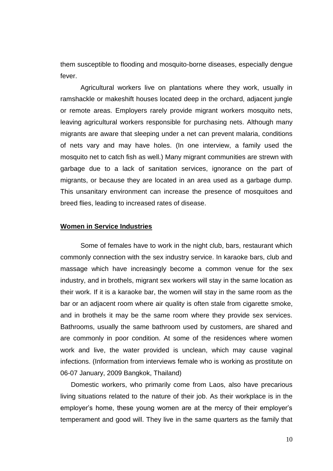them susceptible to flooding and mosquito-borne diseases, especially dengue fever.

Agricultural workers live on plantations where they work, usually in ramshackle or makeshift houses located deep in the orchard, adjacent jungle or remote areas. Employers rarely provide migrant workers mosquito nets, leaving agricultural workers responsible for purchasing nets. Although many migrants are aware that sleeping under a net can prevent malaria, conditions of nets vary and may have holes. (In one interview, a family used the mosquito net to catch fish as well.) Many migrant communities are strewn with garbage due to a lack of sanitation services, ignorance on the part of migrants, or because they are located in an area used as a garbage dump. This unsanitary environment can increase the presence of mosquitoes and breed flies, leading to increased rates of disease.

#### **Women in Service Industries**

Some of females have to work in the night club, bars, restaurant which commonly connection with the sex industry service. In karaoke bars, club and massage which have increasingly become a common venue for the sex industry, and in brothels, migrant sex workers will stay in the same location as their work. If it is a karaoke bar, the women will stay in the same room as the bar or an adjacent room where air quality is often stale from cigarette smoke, and in brothels it may be the same room where they provide sex services. Bathrooms, usually the same bathroom used by customers, are shared and are commonly in poor condition. At some of the residences where women work and live, the water provided is unclean, which may cause vaginal infections. (Information from interviews female who is working as prostitute on 06-07 January, 2009 Bangkok, Thailand)

Domestic workers, who primarily come from Laos, also have precarious living situations related to the nature of their job. As their workplace is in the employer's home, these young women are at the mercy of their employer's temperament and good will. They live in the same quarters as the family that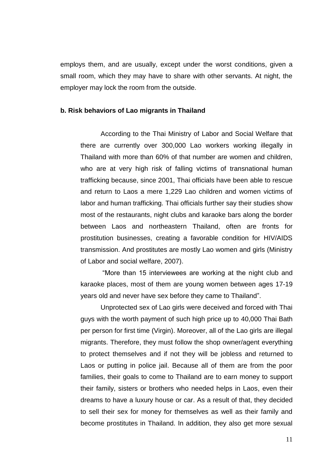employs them, and are usually, except under the worst conditions, given a small room, which they may have to share with other servants. At night, the employer may lock the room from the outside.

#### **b. Risk behaviors of Lao migrants in Thailand**

According to the Thai Ministry of Labor and Social Welfare that there are currently over 300,000 Lao workers working illegally in Thailand with more than 60% of that number are women and children, who are at very high risk of falling victims of transnational human trafficking because, since 2001, Thai officials have been able to rescue and return to Laos a mere 1,229 Lao children and women victims of labor and human trafficking. Thai officials further say their studies show most of the restaurants, night clubs and karaoke bars along the border between Laos and northeastern Thailand, often are fronts for prostitution businesses, creating a favorable condition for HIV/AIDS transmission. And prostitutes are mostly Lao women and girls (Ministry of Labor and social welfare, 2007).

"More than 15 interviewees are working at the night club and karaoke places, most of them are young women between ages 17-19 years old and never have sex before they came to Thailand".

Unprotected sex of Lao girls were deceived and forced with Thai guys with the worth payment of such high price up to 40,000 Thai Bath per person for first time (Virgin). Moreover, all of the Lao girls are illegal migrants. Therefore, they must follow the shop owner/agent everything to protect themselves and if not they will be jobless and returned to Laos or putting in police jail. Because all of them are from the poor families, their goals to come to Thailand are to earn money to support their family, sisters or brothers who needed helps in Laos, even their dreams to have a luxury house or car. As a result of that, they decided to sell their sex for money for themselves as well as their family and become prostitutes in Thailand. In addition, they also get more sexual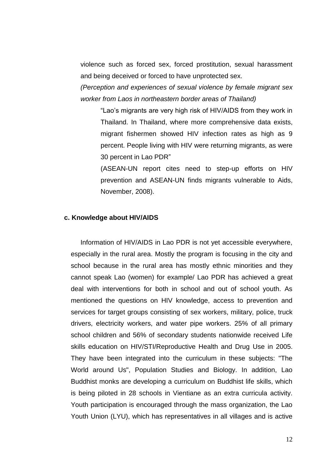violence such as forced sex, forced prostitution, sexual harassment and being deceived or forced to have unprotected sex.

*(Perception and experiences of sexual violence by female migrant sex worker from Laos in northeastern border areas of Thailand)*

"Lao's migrants are very high risk of HIV/AIDS from they work in Thailand. In Thailand, where more comprehensive data exists, migrant fishermen showed HIV infection rates as high as 9 percent. People living with HIV were returning migrants, as were 30 percent in Lao PDR"

(ASEAN-UN report cites need to step-up efforts on HIV prevention and ASEAN-UN finds migrants vulnerable to Aids, November, 2008).

#### **c. Knowledge about HIV/AIDS**

Information of HIV/AIDS in Lao PDR is not yet accessible everywhere, especially in the rural area. Mostly the program is focusing in the city and school because in the rural area has mostly ethnic minorities and they cannot speak Lao (women) for example/ Lao PDR has achieved a great deal with interventions for both in school and out of school youth. As mentioned the questions on HIV knowledge, access to prevention and services for target groups consisting of sex workers, military, police, truck drivers, electricity workers, and water pipe workers. 25% of all primary school children and 56% of secondary students nationwide received Life skills education on HIV/STI/Reproductive Health and Drug Use in 2005. They have been integrated into the curriculum in these subjects: "The World around Us", Population Studies and Biology. In addition, Lao Buddhist monks are developing a curriculum on Buddhist life skills, which is being piloted in 28 schools in Vientiane as an extra curricula activity. Youth participation is encouraged through the mass organization, the Lao Youth Union (LYU), which has representatives in all villages and is active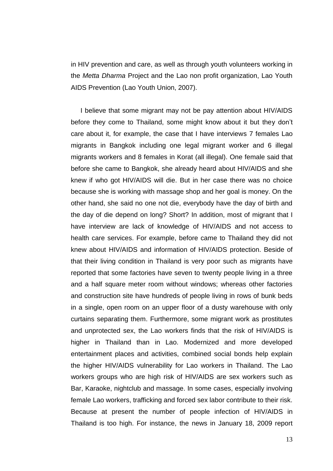in HIV prevention and care, as well as through youth volunteers working in the *Metta Dharma* Project and the Lao non profit organization, Lao Youth AIDS Prevention (Lao Youth Union, 2007).

I believe that some migrant may not be pay attention about HIV/AIDS before they come to Thailand, some might know about it but they don't care about it, for example, the case that I have interviews 7 females Lao migrants in Bangkok including one legal migrant worker and 6 illegal migrants workers and 8 females in Korat (all illegal). One female said that before she came to Bangkok, she already heard about HIV/AIDS and she knew if who got HIV/AIDS will die. But in her case there was no choice because she is working with massage shop and her goal is money. On the other hand, she said no one not die, everybody have the day of birth and the day of die depend on long? Short? In addition, most of migrant that I have interview are lack of knowledge of HIV/AIDS and not access to health care services. For example, before came to Thailand they did not knew about HIV/AIDS and information of HIV/AIDS protection. Beside of that their living condition in Thailand is very poor such as migrants have reported that some factories have seven to twenty people living in a three and a half square meter room without windows; whereas other factories and construction site have hundreds of people living in rows of bunk beds in a single, open room on an upper floor of a dusty warehouse with only curtains separating them. Furthermore, some migrant work as prostitutes and unprotected sex, the Lao workers finds that the risk of HIV/AIDS is higher in Thailand than in Lao. Modernized and more developed entertainment places and activities, combined social bonds help explain the higher HIV/AIDS vulnerability for Lao workers in Thailand. The Lao workers groups who are high risk of HIV/AIDS are sex workers such as Bar, Karaoke, nightclub and massage. In some cases, especially involving female Lao workers, trafficking and forced sex labor contribute to their risk. Because at present the number of people infection of HIV/AIDS in Thailand is too high. For instance, the news in January 18, 2009 report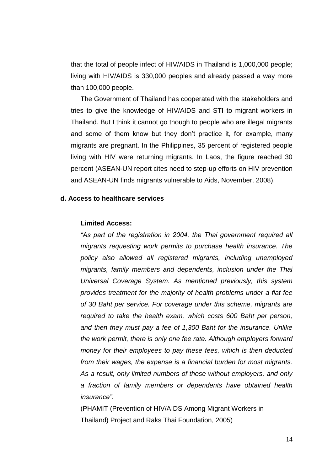that the total of people infect of HIV/AIDS in Thailand is 1,000,000 people; living with HIV/AIDS is 330,000 peoples and already passed a way more than 100,000 people.

The Government of Thailand has cooperated with the stakeholders and tries to give the knowledge of HIV/AIDS and STI to migrant workers in Thailand. But I think it cannot go though to people who are illegal migrants and some of them know but they don't practice it, for example, many migrants are pregnant. In the Philippines, 35 percent of registered people living with HIV were returning migrants. In Laos, the figure reached 30 percent (ASEAN-UN report cites need to step-up efforts on HIV prevention and ASEAN-UN finds migrants vulnerable to Aids, November, 2008).

### **d. Access to healthcare services**

#### **Limited Access:**

*"As part of the registration in 2004, the Thai government required all migrants requesting work permits to purchase health insurance. The policy also allowed all registered migrants, including unemployed migrants, family members and dependents, inclusion under the Thai Universal Coverage System. As mentioned previously, this system provides treatment for the majority of health problems under a flat fee of 30 Baht per service. For coverage under this scheme, migrants are required to take the health exam, which costs 600 Baht per person, and then they must pay a fee of 1,300 Baht for the insurance. Unlike the work permit, there is only one fee rate. Although employers forward money for their employees to pay these fees, which is then deducted from their wages, the expense is a financial burden for most migrants. As a result, only limited numbers of those without employers, and only a fraction of family members or dependents have obtained health insurance".* 

(PHAMIT (Prevention of HIV/AIDS Among Migrant Workers in Thailand) Project and Raks Thai Foundation, 2005)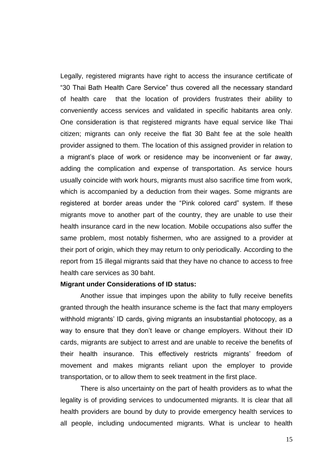Legally, registered migrants have right to access the insurance certificate of "30 Thai Bath Health Care Service" thus covered all the necessary standard of health care that the location of providers frustrates their ability to conveniently access services and validated in specific habitants area only. One consideration is that registered migrants have equal service like Thai citizen; migrants can only receive the flat 30 Baht fee at the sole health provider assigned to them. The location of this assigned provider in relation to a migrant's place of work or residence may be inconvenient or far away, adding the complication and expense of transportation. As service hours usually coincide with work hours, migrants must also sacrifice time from work, which is accompanied by a deduction from their wages. Some migrants are registered at border areas under the "Pink colored card" system. If these migrants move to another part of the country, they are unable to use their health insurance card in the new location. Mobile occupations also suffer the same problem, most notably fishermen, who are assigned to a provider at their port of origin, which they may return to only periodically. According to the report from 15 illegal migrants said that they have no chance to access to free health care services as 30 baht.

#### **Migrant under Considerations of ID status:**

Another issue that impinges upon the ability to fully receive benefits granted through the health insurance scheme is the fact that many employers withhold migrants' ID cards, giving migrants an insubstantial photocopy, as a way to ensure that they don't leave or change employers. Without their ID cards, migrants are subject to arrest and are unable to receive the benefits of their health insurance. This effectively restricts migrants' freedom of movement and makes migrants reliant upon the employer to provide transportation, or to allow them to seek treatment in the first place.

There is also uncertainty on the part of health providers as to what the legality is of providing services to undocumented migrants. It is clear that all health providers are bound by duty to provide emergency health services to all people, including undocumented migrants. What is unclear to health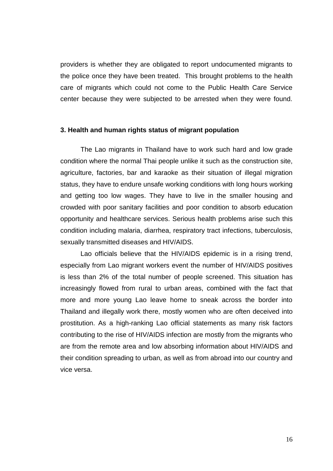providers is whether they are obligated to report undocumented migrants to the police once they have been treated. This brought problems to the health care of migrants which could not come to the Public Health Care Service center because they were subjected to be arrested when they were found.

#### **3. Health and human rights status of migrant population**

The Lao migrants in Thailand have to work such hard and low grade condition where the normal Thai people unlike it such as the construction site, agriculture, factories, bar and karaoke as their situation of illegal migration status, they have to endure unsafe working conditions with long hours working and getting too low wages. They have to live in the smaller housing and crowded with poor sanitary facilities and poor condition to absorb education opportunity and healthcare services. Serious health problems arise such this condition including malaria, diarrhea, respiratory tract infections, tuberculosis, sexually transmitted diseases and HIV/AIDS.

Lao officials believe that the HIV/AIDS epidemic is in a rising trend, especially from Lao migrant workers event the number of HIV/AIDS positives is less than 2% of the total number of people screened. This situation has increasingly flowed from rural to urban areas, combined with the fact that more and more young Lao leave home to sneak across the border into Thailand and illegally work there, mostly women who are often deceived into prostitution. As a high-ranking Lao official statements as many risk factors contributing to the rise of HIV/AIDS infection are mostly from the migrants who are from the remote area and low absorbing information about HIV/AIDS and their condition spreading to urban, as well as from abroad into our country and vice versa.